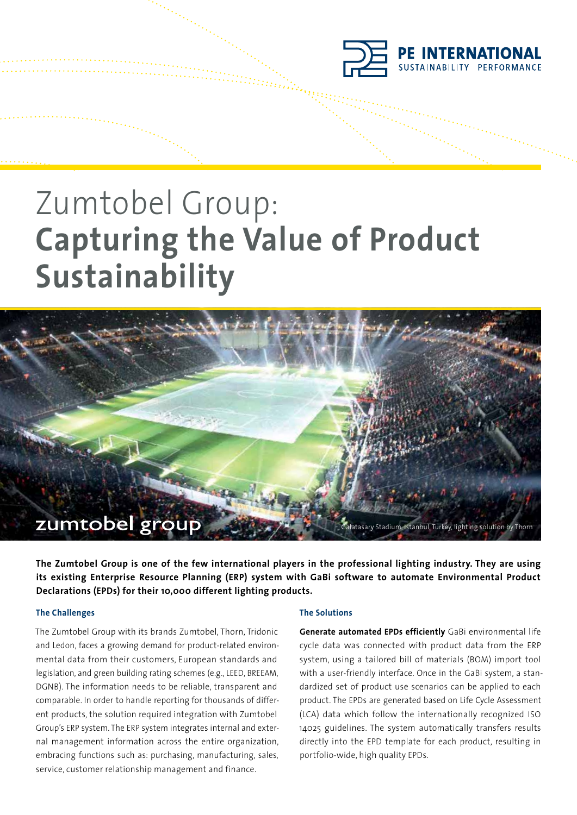

# Zumtobel Group: **Capturing the Value of Product Sustainability**



**The Zumtobel Group is one of the few international players in the professional lighting industry. They are using its existing Enterprise Resource Planning (ERP) system with GaBi software to automate Environmental Product Declarations (EPDs) for their 10,000 different lighting products.**

# **The Challenges**

The Zumtobel Group with its brands Zumtobel, Thorn, Tridonic and Ledon, faces a growing demand for product-related environmental data from their customers, European standards and legislation, and green building rating schemes (e.g., LEED, BREEAM, DGNB). The information needs to be reliable, transparent and comparable. In order to handle reporting for thousands of different products, the solution required integration with Zumtobel Group's ERP system. The ERP system integrates internal and external management information across the entire organization, embracing functions such as: purchasing, manufacturing, sales, service, customer relationship management and finance.

# **The Solutions**

**Generate automated EPDs efficiently** GaBi environmental life cycle data was connected with product data from the ERP system, using a tailored bill of materials (BOM) import tool with a user-friendly interface. Once in the GaBi system, a standardized set of product use scenarios can be applied to each product. The EPDs are generated based on Life Cycle Assessment (LCA) data which follow the internationally recognized ISO 14025 guidelines. The system automatically transfers results directly into the EPD template for each product, resulting in portfolio-wide, high quality EPDs.